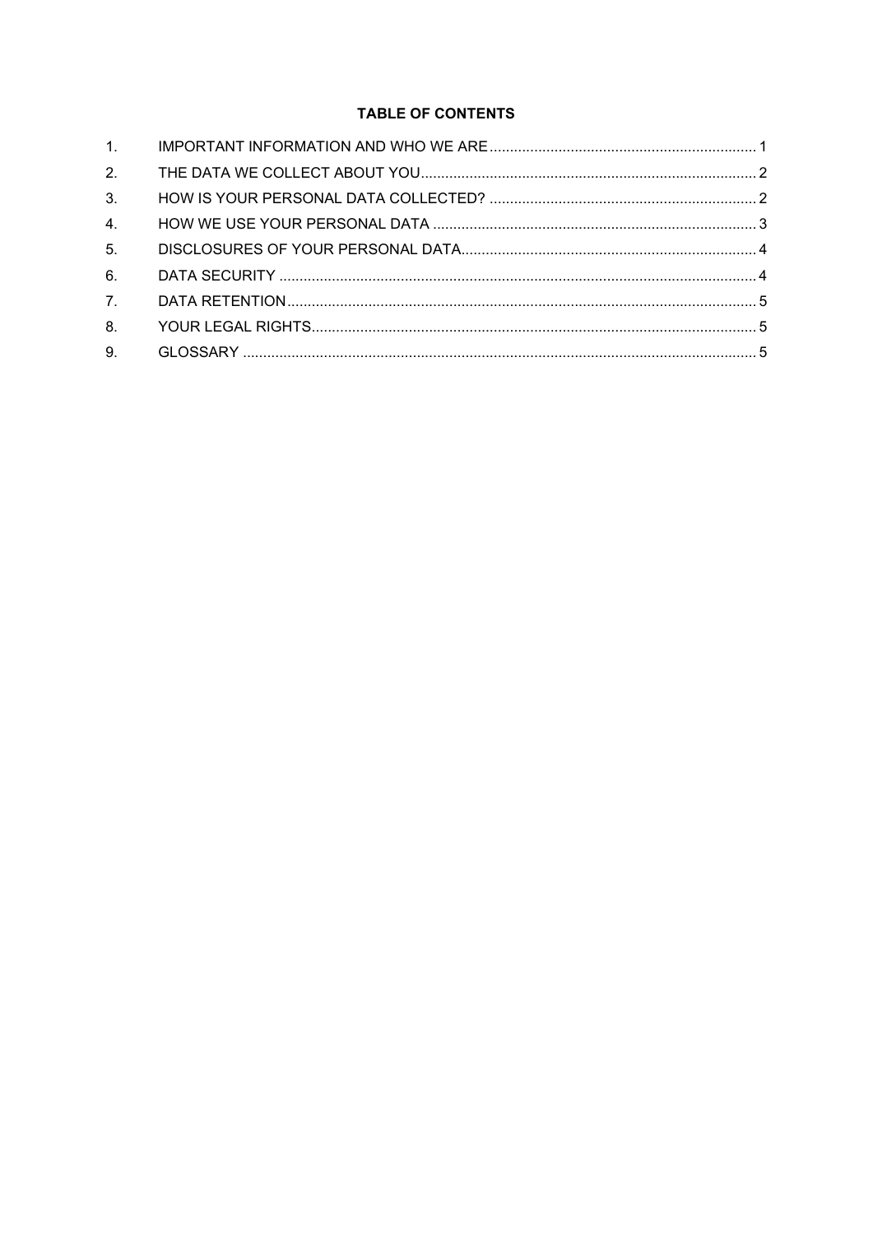# **TABLE OF CONTENTS**

| 1.               |  |
|------------------|--|
| 2.               |  |
| 3.               |  |
| 4.               |  |
| 5 <sub>1</sub>   |  |
| 6.               |  |
| $\overline{7}$ . |  |
| 8.               |  |
| 9.               |  |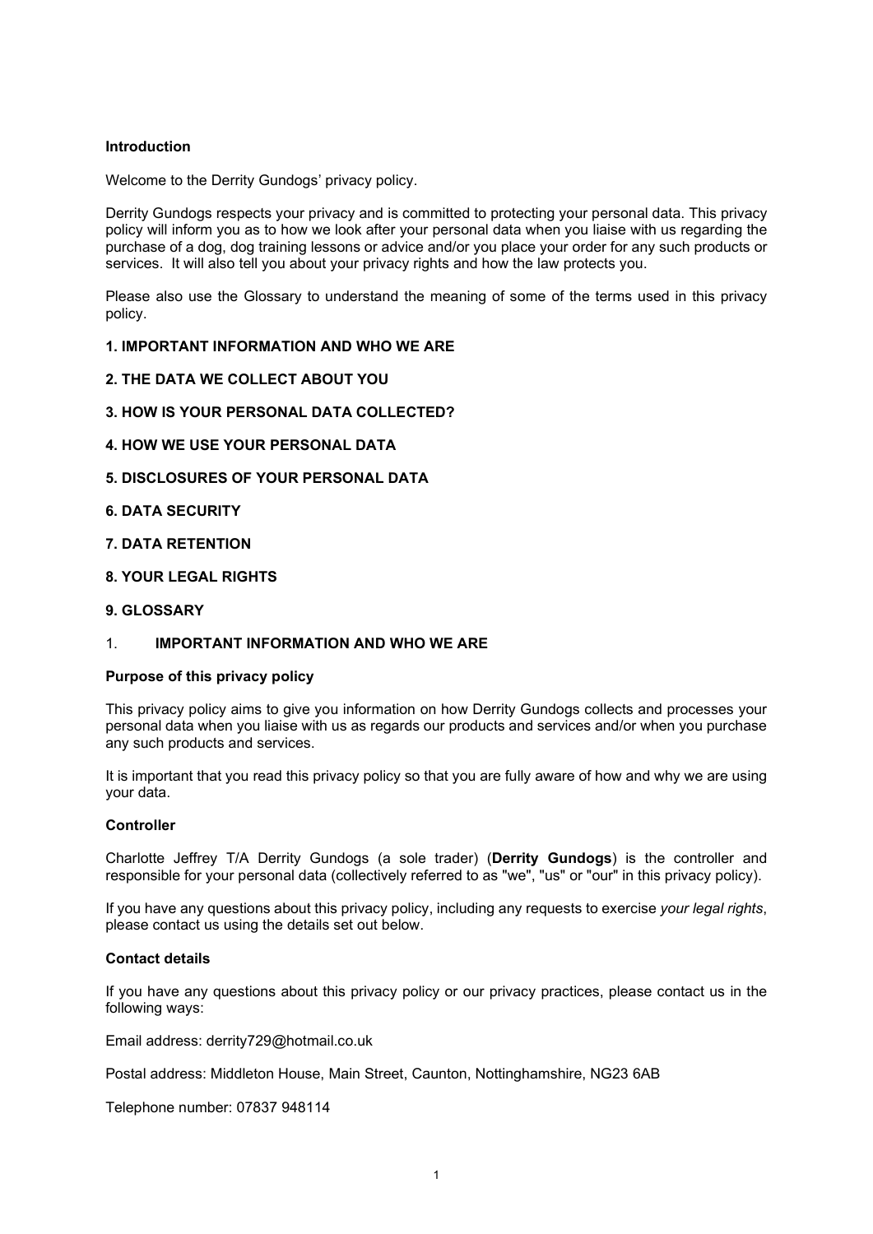## Introduction

Welcome to the Derrity Gundogs' privacy policy.

Derrity Gundogs respects your privacy and is committed to protecting your personal data. This privacy policy will inform you as to how we look after your personal data when you liaise with us regarding the purchase of a dog, dog training lessons or advice and/or you place your order for any such products or services. It will also tell you about your privacy rights and how the law protects you.

Please also use the Glossary to understand the meaning of some of the terms used in this privacy policy.

#### 1. IMPORTANT INFORMATION AND WHO WE ARE

- 2. THE DATA WE COLLECT ABOUT YOU
- 3. HOW IS YOUR PERSONAL DATA COLLECTED?
- 4. HOW WE USE YOUR PERSONAL DATA
- 5. DISCLOSURES OF YOUR PERSONAL DATA
- 6. DATA SECURITY
- 7. DATA RETENTION
- 8. YOUR LEGAL RIGHTS
- 9. GLOSSARY

#### 1. IMPORTANT INFORMATION AND WHO WE ARE

#### Purpose of this privacy policy

This privacy policy aims to give you information on how Derrity Gundogs collects and processes your personal data when you liaise with us as regards our products and services and/or when you purchase any such products and services.

It is important that you read this privacy policy so that you are fully aware of how and why we are using your data.

#### **Controller**

Charlotte Jeffrey T/A Derrity Gundogs (a sole trader) (Derrity Gundogs) is the controller and responsible for your personal data (collectively referred to as "we", "us" or "our" in this privacy policy).

If you have any questions about this privacy policy, including any requests to exercise your legal rights, please contact us using the details set out below.

#### Contact details

If you have any questions about this privacy policy or our privacy practices, please contact us in the following ways:

Email address: derrity729@hotmail.co.uk

Postal address: Middleton House, Main Street, Caunton, Nottinghamshire, NG23 6AB

Telephone number: 07837 948114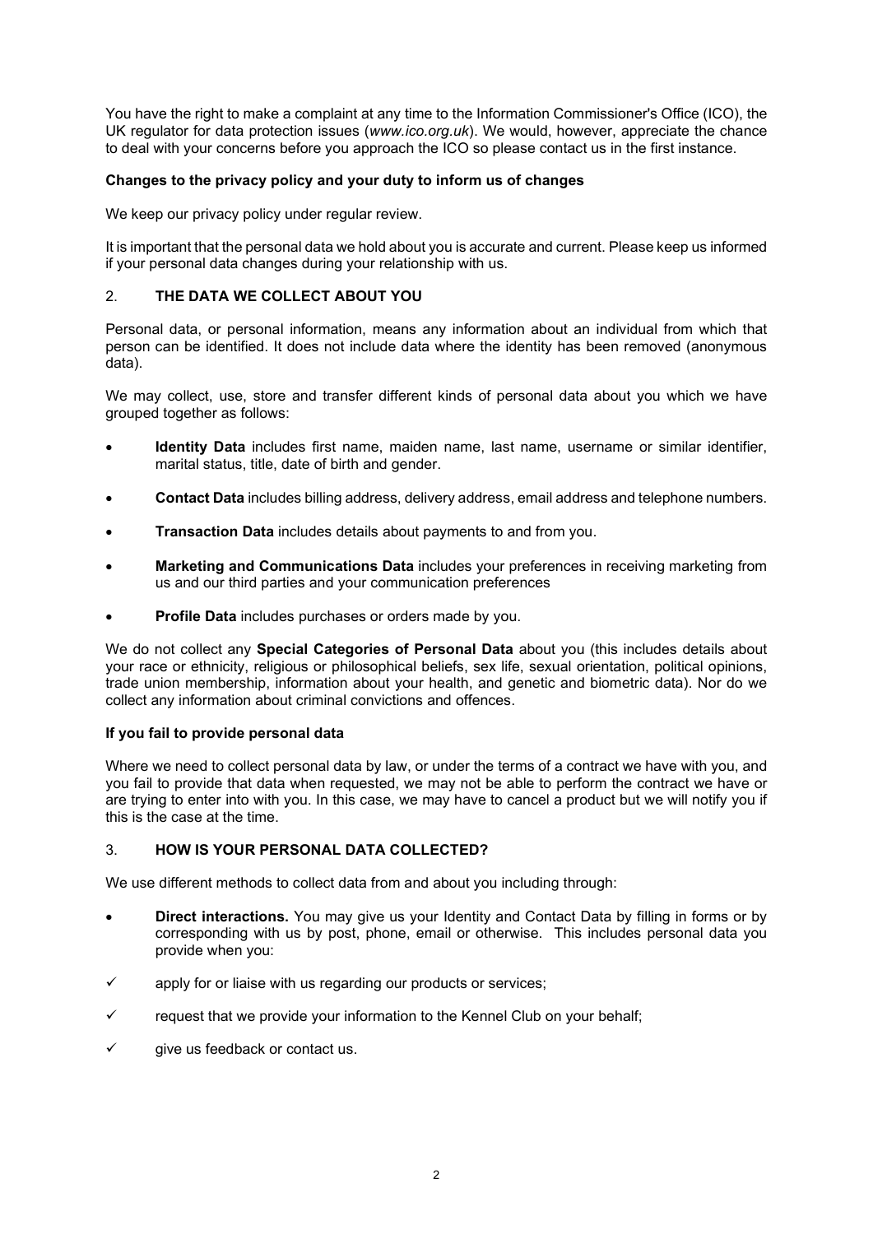You have the right to make a complaint at any time to the Information Commissioner's Office (ICO), the UK regulator for data protection issues (www.ico.org.uk). We would, however, appreciate the chance to deal with your concerns before you approach the ICO so please contact us in the first instance.

## Changes to the privacy policy and your duty to inform us of changes

We keep our privacy policy under regular review.

It is important that the personal data we hold about you is accurate and current. Please keep us informed if your personal data changes during your relationship with us.

## 2. THE DATA WE COLLECT ABOUT YOU

Personal data, or personal information, means any information about an individual from which that person can be identified. It does not include data where the identity has been removed (anonymous data).

We may collect, use, store and transfer different kinds of personal data about you which we have grouped together as follows:

- Identity Data includes first name, maiden name, last name, username or similar identifier, marital status, title, date of birth and gender.
- Contact Data includes billing address, delivery address, email address and telephone numbers.
- Transaction Data includes details about payments to and from you.
- Marketing and Communications Data includes your preferences in receiving marketing from us and our third parties and your communication preferences
- Profile Data includes purchases or orders made by you.

We do not collect any Special Categories of Personal Data about you (this includes details about your race or ethnicity, religious or philosophical beliefs, sex life, sexual orientation, political opinions, trade union membership, information about your health, and genetic and biometric data). Nor do we collect any information about criminal convictions and offences.

## If you fail to provide personal data

Where we need to collect personal data by law, or under the terms of a contract we have with you, and you fail to provide that data when requested, we may not be able to perform the contract we have or are trying to enter into with you. In this case, we may have to cancel a product but we will notify you if this is the case at the time.

## 3. HOW IS YOUR PERSONAL DATA COLLECTED?

We use different methods to collect data from and about you including through:

- Direct interactions. You may give us your Identity and Contact Data by filling in forms or by corresponding with us by post, phone, email or otherwise. This includes personal data you provide when you:
- apply for or liaise with us regarding our products or services;
- request that we provide your information to the Kennel Club on your behalf;
- give us feedback or contact us.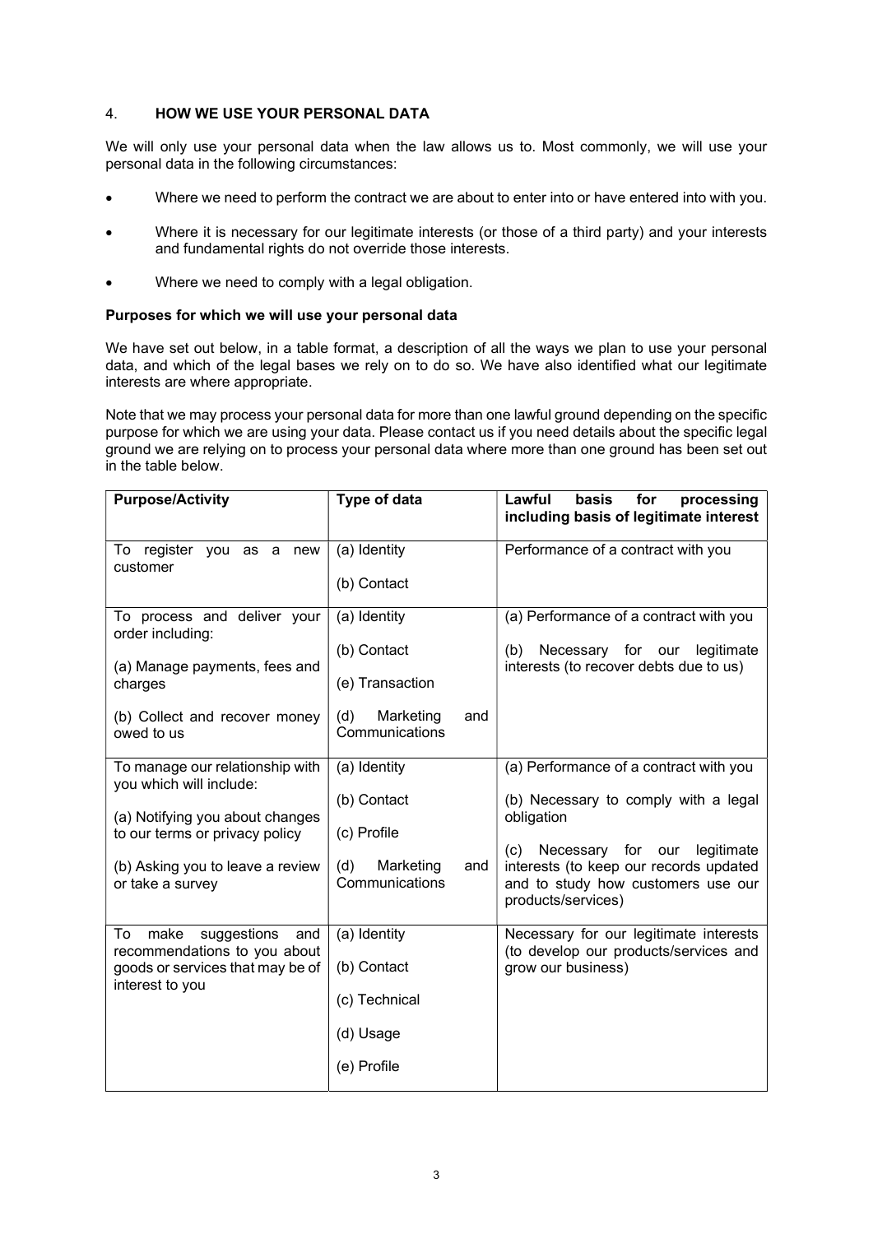## 4. HOW WE USE YOUR PERSONAL DATA

We will only use your personal data when the law allows us to. Most commonly, we will use your personal data in the following circumstances:

- Where we need to perform the contract we are about to enter into or have entered into with you.
- Where it is necessary for our legitimate interests (or those of a third party) and your interests and fundamental rights do not override those interests.
- Where we need to comply with a legal obligation.

#### Purposes for which we will use your personal data

We have set out below, in a table format, a description of all the ways we plan to use your personal data, and which of the legal bases we rely on to do so. We have also identified what our legitimate interests are where appropriate.

Note that we may process your personal data for more than one lawful ground depending on the specific purpose for which we are using your data. Please contact us if you need details about the specific legal ground we are relying on to process your personal data where more than one ground has been set out in the table below.

| <b>Purpose/Activity</b>                                                                                                                                                                 | Type of data                                                                                | Lawful<br>basis<br>processing<br>for<br>including basis of legitimate interest                                                                                                                                                               |
|-----------------------------------------------------------------------------------------------------------------------------------------------------------------------------------------|---------------------------------------------------------------------------------------------|----------------------------------------------------------------------------------------------------------------------------------------------------------------------------------------------------------------------------------------------|
| To register you as a new<br>customer                                                                                                                                                    | (a) Identity<br>(b) Contact                                                                 | Performance of a contract with you                                                                                                                                                                                                           |
| To process and deliver your<br>order including:<br>(a) Manage payments, fees and<br>charges<br>(b) Collect and recover money<br>owed to us                                              | (a) Identity<br>(b) Contact<br>(e) Transaction<br>(d)<br>Marketing<br>and<br>Communications | (a) Performance of a contract with you<br>Necessary for our<br>legitimate<br>(b)<br>interests (to recover debts due to us)                                                                                                                   |
| To manage our relationship with<br>you which will include:<br>(a) Notifying you about changes<br>to our terms or privacy policy<br>(b) Asking you to leave a review<br>or take a survey | (a) Identity<br>(b) Contact<br>(c) Profile<br>(d)<br>and<br>Marketing<br>Communications     | (a) Performance of a contract with you<br>(b) Necessary to comply with a legal<br>obligation<br>Necessary for our<br>legitimate<br>(c)<br>interests (to keep our records updated<br>and to study how customers use our<br>products/services) |
| make<br>To<br>suggestions<br>and<br>recommendations to you about<br>goods or services that may be of<br>interest to you                                                                 | (a) Identity<br>(b) Contact<br>(c) Technical<br>(d) Usage<br>(e) Profile                    | Necessary for our legitimate interests<br>(to develop our products/services and<br>grow our business)                                                                                                                                        |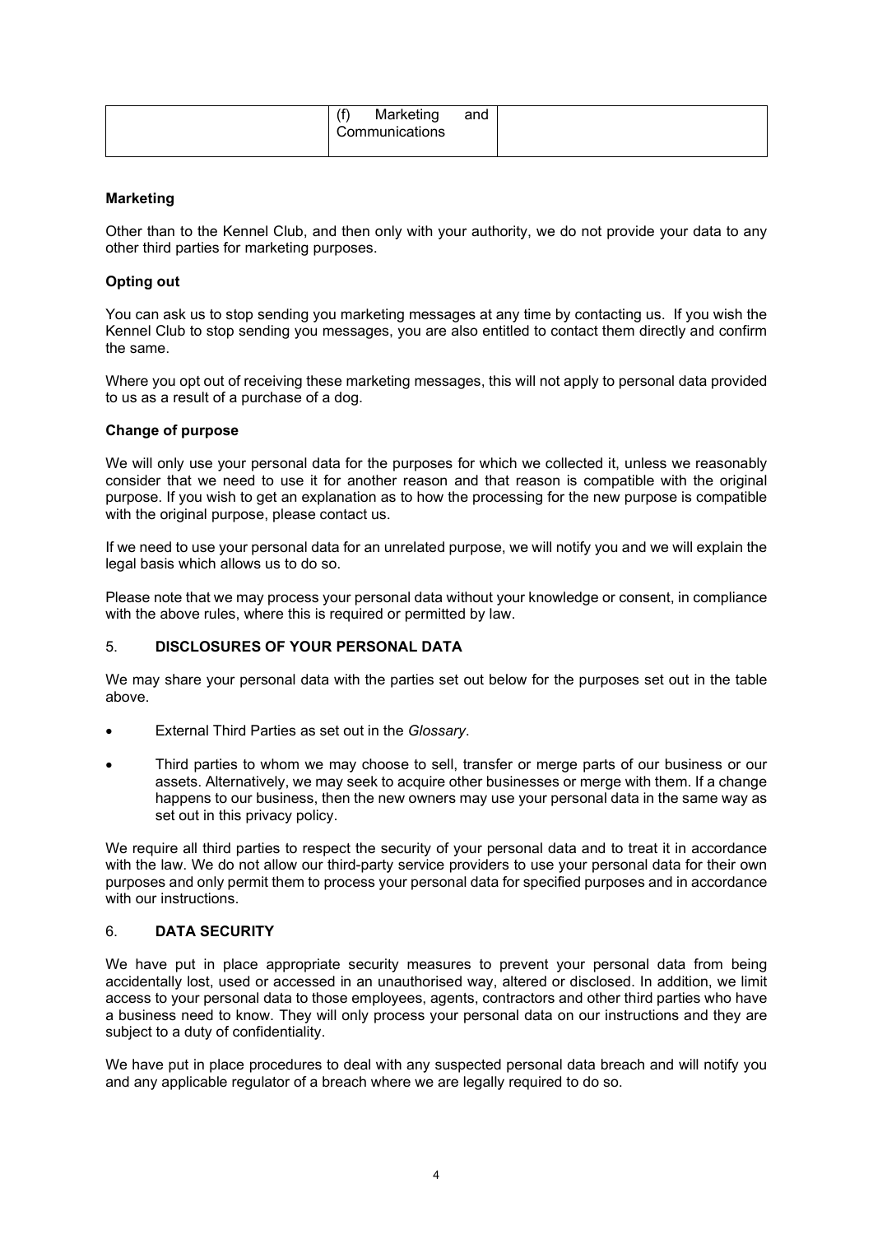| (f)<br>Marketing<br>Communications | and |  |
|------------------------------------|-----|--|
|                                    |     |  |

## Marketing

Other than to the Kennel Club, and then only with your authority, we do not provide your data to any other third parties for marketing purposes.

#### Opting out

You can ask us to stop sending you marketing messages at any time by contacting us. If you wish the Kennel Club to stop sending you messages, you are also entitled to contact them directly and confirm the same.

Where you opt out of receiving these marketing messages, this will not apply to personal data provided to us as a result of a purchase of a dog.

#### Change of purpose

We will only use your personal data for the purposes for which we collected it, unless we reasonably consider that we need to use it for another reason and that reason is compatible with the original purpose. If you wish to get an explanation as to how the processing for the new purpose is compatible with the original purpose, please contact us.

If we need to use your personal data for an unrelated purpose, we will notify you and we will explain the legal basis which allows us to do so.

Please note that we may process your personal data without your knowledge or consent, in compliance with the above rules, where this is required or permitted by law.

## 5. DISCLOSURES OF YOUR PERSONAL DATA

We may share your personal data with the parties set out below for the purposes set out in the table above.

- External Third Parties as set out in the Glossary.
- Third parties to whom we may choose to sell, transfer or merge parts of our business or our assets. Alternatively, we may seek to acquire other businesses or merge with them. If a change happens to our business, then the new owners may use your personal data in the same way as set out in this privacy policy.

We require all third parties to respect the security of your personal data and to treat it in accordance with the law. We do not allow our third-party service providers to use your personal data for their own purposes and only permit them to process your personal data for specified purposes and in accordance with our instructions.

#### 6. DATA SECURITY

We have put in place appropriate security measures to prevent your personal data from being accidentally lost, used or accessed in an unauthorised way, altered or disclosed. In addition, we limit access to your personal data to those employees, agents, contractors and other third parties who have a business need to know. They will only process your personal data on our instructions and they are subject to a duty of confidentiality.

We have put in place procedures to deal with any suspected personal data breach and will notify you and any applicable regulator of a breach where we are legally required to do so.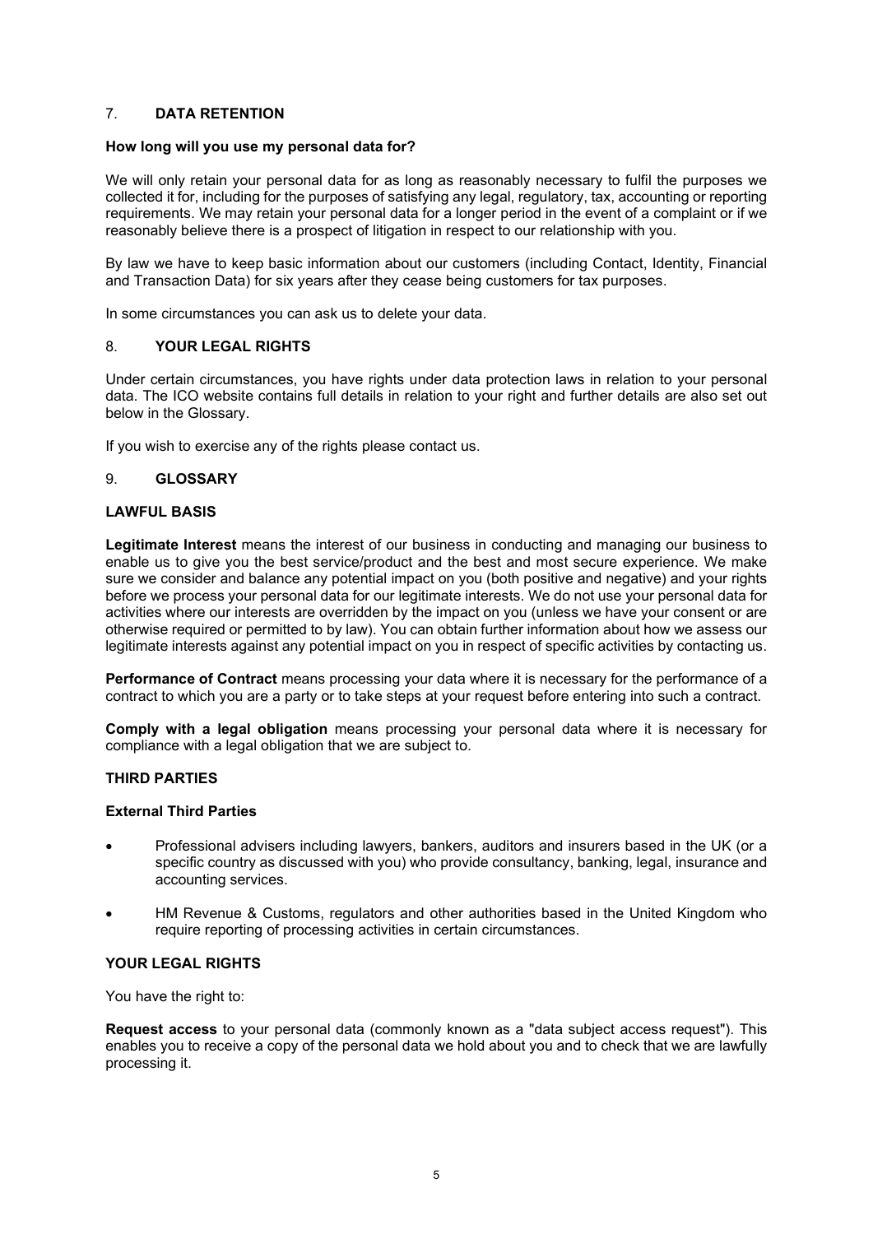## 7. DATA RETENTION

#### How long will you use my personal data for?

We will only retain your personal data for as long as reasonably necessary to fulfil the purposes we collected it for, including for the purposes of satisfying any legal, regulatory, tax, accounting or reporting requirements. We may retain your personal data for a longer period in the event of a complaint or if we reasonably believe there is a prospect of litigation in respect to our relationship with you.

By law we have to keep basic information about our customers (including Contact, Identity, Financial and Transaction Data) for six years after they cease being customers for tax purposes.

In some circumstances you can ask us to delete your data.

#### 8. YOUR LEGAL RIGHTS

Under certain circumstances, you have rights under data protection laws in relation to your personal data. The ICO website contains full details in relation to your right and further details are also set out below in the Glossary.

If you wish to exercise any of the rights please contact us.

#### 9. GLOSSARY

#### LAWFUL BASIS

Legitimate Interest means the interest of our business in conducting and managing our business to enable us to give you the best service/product and the best and most secure experience. We make sure we consider and balance any potential impact on you (both positive and negative) and your rights before we process your personal data for our legitimate interests. We do not use your personal data for activities where our interests are overridden by the impact on you (unless we have your consent or are otherwise required or permitted to by law). You can obtain further information about how we assess our legitimate interests against any potential impact on you in respect of specific activities by contacting us.

Performance of Contract means processing your data where it is necessary for the performance of a contract to which you are a party or to take steps at your request before entering into such a contract.

Comply with a legal obligation means processing your personal data where it is necessary for compliance with a legal obligation that we are subject to.

#### THIRD PARTIES

#### External Third Parties

- Professional advisers including lawyers, bankers, auditors and insurers based in the UK (or a specific country as discussed with you) who provide consultancy, banking, legal, insurance and accounting services.
- HM Revenue & Customs, regulators and other authorities based in the United Kingdom who require reporting of processing activities in certain circumstances.

## YOUR LEGAL RIGHTS

You have the right to:

Request access to your personal data (commonly known as a "data subject access request"). This enables you to receive a copy of the personal data we hold about you and to check that we are lawfully processing it.